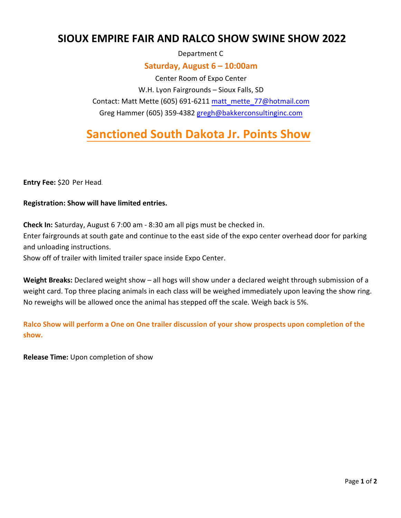## **SIOUX EMPIRE FAIR AND RALCO SHOW SWINE SHOW 2022**

Department C

### **Saturday, August 6 – 10:00am**

Center Room of Expo Center W.H. Lyon Fairgrounds – Sioux Falls, SD Contact: Matt Mette (605) 691-62[11 matt\\_mette\\_77@hotmail.com](mailto:matt_mette_77@hotmail.com) Greg Hammer (605) 359-4382 [gregh@bakkerconsultinginc.com](mailto:gregh@bakkerconsultinginc.com)

# **Sanctioned South Dakota Jr. Points Show**

**Entry Fee:** \$20 Per Head.

#### **Registration: Show will have limited entries.**

**Check In:** Saturday, August 6 7:00 am - 8:30 am all pigs must be checked in. Enter fairgrounds at south gate and continue to the east side of the expo center overhead door for parking and unloading instructions.

Show off of trailer with limited trailer space inside Expo Center.

**Weight Breaks:** Declared weight show – all hogs will show under a declared weight through submission of a weight card. Top three placing animals in each class will be weighed immediately upon leaving the show ring. No reweighs will be allowed once the animal has stepped off the scale. Weigh back is 5%.

**Ralco Show will perform a One on One trailer discussion of your show prospects upon completion of the show.** 

**Release Time:** Upon completion of show